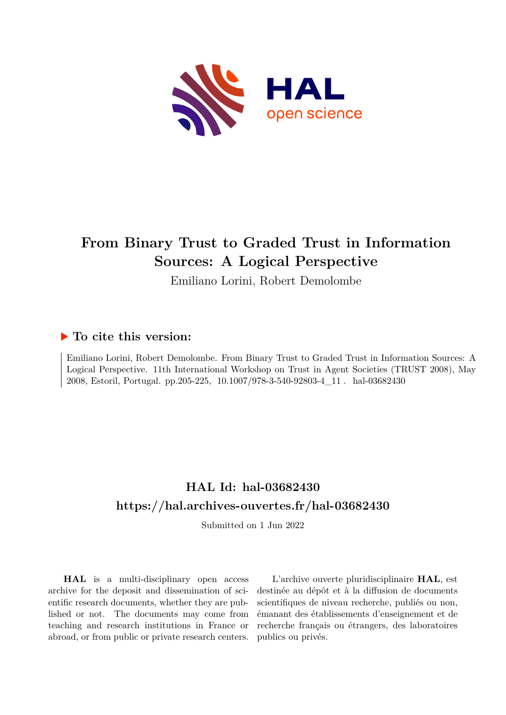

# **From Binary Trust to Graded Trust in Information Sources: A Logical Perspective**

Emiliano Lorini, Robert Demolombe

# **To cite this version:**

Emiliano Lorini, Robert Demolombe. From Binary Trust to Graded Trust in Information Sources: A Logical Perspective. 11th International Workshop on Trust in Agent Societies (TRUST 2008), May 2008, Estoril, Portugal. pp.205-225, 10.1007/978-3-540-92803-4\_11 . hal-03682430

# **HAL Id: hal-03682430 <https://hal.archives-ouvertes.fr/hal-03682430>**

Submitted on 1 Jun 2022

**HAL** is a multi-disciplinary open access archive for the deposit and dissemination of scientific research documents, whether they are published or not. The documents may come from teaching and research institutions in France or abroad, or from public or private research centers.

L'archive ouverte pluridisciplinaire **HAL**, est destinée au dépôt et à la diffusion de documents scientifiques de niveau recherche, publiés ou non, émanant des établissements d'enseignement et de recherche français ou étrangers, des laboratoires publics ou privés.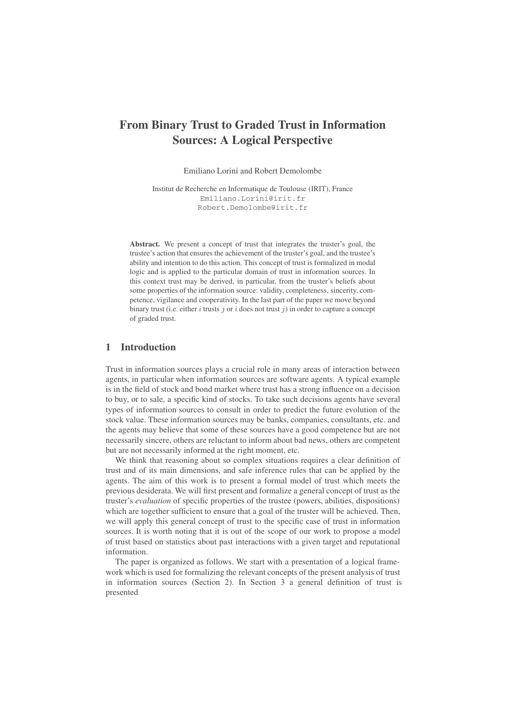# **From Binary Trust to Graded Trust in Information Sources: A Logical Perspective**

Emiliano Lorini and Robert Demolombe

Institut de Recherche en Informatique de Toulouse (IRIT), France Emiliano.Lorini@irit.fr Robert.Demolombe@irit.fr

**Abstract.** We present a concept of trust that integrates the truster's goal, the trustee's action that ensures the achievement of the truster's goal, and the trustee's ability and intention to do this action. This concept of trust is formalized in modal logic and is applied to the particular domain of trust in information sources. In this context trust may be derived, in particular, from the truster's beliefs about some properties of the information source: validity, completeness, sincerity, competence, vigilance and cooperativity. In the last part of the paper we move beyond binary trust (i.e. either i trusts j or i does not trust j) in order to capture a concept of graded trust.

# **1 Introduction**

Trust in information sources plays a crucial role in many areas of interaction between agents, in particular when information sources are software agents. A typical example is in the field of stock and bond market where trust has a strong influence on a decision to buy, or to sale, a specific kind of stocks. To take such decisions agents have several types of information sources to consult in order to predict the future evolution of the stock value. These information sources may be banks, companies, consultants, etc. and the agents may believe that some of these sources have a good competence but are not necessarily sincere, others are reluctant to inform about bad news, others are competent but are not necessarily informed at the right moment, etc.

We think that reasoning about so complex situations requires a clear definition of trust and of its main dimensions, and safe inference rules that can be applied by the agents. The aim of this work is to present a formal model of trust which meets the previous desiderata. We will first present and formalize a general concept of trust as the truster's *evaluation* of specific properties of the trustee (powers, abilities, dispositions) which are together sufficient to ensure that a goal of the truster will be achieved. Then, we will apply this general concept of trust to the specific case of trust in information sources. It is worth noting that it is out of the scope of our work to propose a model of trust based on statistics about past interactions with a given target and reputational information.

The paper is organized as follows. We start with a presentation of a logical framework which is used for formalizing the relevant concepts of the present analysis of trust in information sources (Section 2). In Section 3 a general definition of trust is presented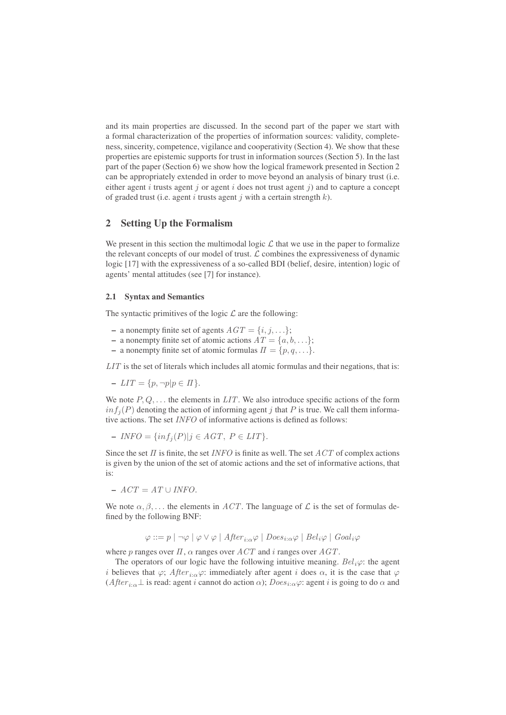and its main properties are discussed. In the second part of the paper we start with a formal characterization of the properties of information sources: validity, completeness, sincerity, competence, vigilance and cooperativity (Section 4). We show that these properties are epistemic supports for trust in information sources (Section 5). In the last part of the paper (Section 6) we show how the logical framework presented in Section 2 can be appropriately extended in order to move beyond an analysis of binary trust (i.e. either agent i trusts agent j or agent i does not trust agent j) and to capture a concept of graded trust (i.e. agent i trusts agent j with a certain strength  $k$ ).

#### **2 Setting Up the Formalism**

We present in this section the multimodal logic  $\mathcal L$  that we use in the paper to formalize the relevant concepts of our model of trust.  $\mathcal L$  combines the expressiveness of dynamic logic [17] with the expressiveness of a so-called BDI (belief, desire, intention) logic of agents' mental attitudes (see [7] for instance).

#### **2.1 Syntax and Semantics**

The syntactic primitives of the logic  $\mathcal L$  are the following:

- **–** a nonempty finite set of agents  $AGT = \{i, j, ...\}$ ;
- **–** a nonempty finite set of atomic actions  $\overrightarrow{AT} = \{a, b, \ldots\};$
- **–** a nonempty finite set of atomic formulas  $\Pi = \{p, q, \ldots\}.$

 $LIT$  is the set of literals which includes all atomic formulas and their negations, that is:

 $- LIT = \{p, \neg p | p \in \Pi\}.$ 

We note  $P, Q, \ldots$  the elements in  $LIT$ . We also introduce specific actions of the form  $inf_i(P)$  denoting the action of informing agent j that P is true. We call them informative actions. The set INFO of informative actions is defined as follows:

$$
- INFO = \{inf_j(P)|j \in AGT, P \in LIT\}.
$$

Since the set  $\Pi$  is finite, the set  $INFO$  is finite as well. The set  $ACT$  of complex actions is given by the union of the set of atomic actions and the set of informative actions, that is:

$$
- ACT = AT \cup INFO.
$$

We note  $\alpha, \beta, \ldots$  the elements in ACT. The language of  $\mathcal L$  is the set of formulas defined by the following BNF:

$$
\varphi ::= p \mid \neg \varphi \mid \varphi \lor \varphi \mid After_{i:\alpha} \varphi \mid Does_{i:\alpha} \varphi \mid Bel_i \varphi \mid Goal_i \varphi
$$

where p ranges over  $\Pi$ ,  $\alpha$  ranges over  $ACT$  and i ranges over  $AGT$ .

The operators of our logic have the following intuitive meaning.  $Bel_i\varphi$ : the agent i believes that  $\varphi$ ; After  $i_{i\alpha}\varphi$ : immediately after agent i does  $\alpha$ , it is the case that  $\varphi$ (After<sub>i: $\alpha$ </sub> $\perp$  is read: agent i cannot do action  $\alpha$ ); Does<sub>i: $\alpha$ </sub> $\varphi$ : agent i is going to do  $\alpha$  and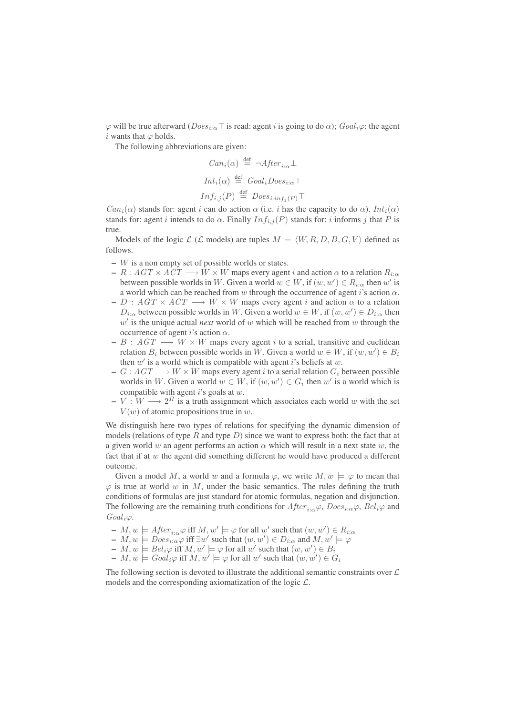$\varphi$  will be true afterward ( $Does_{i\alpha}$ ) is read: agent *i* is going to do  $\alpha$ );  $Goal_i\varphi$ : the agent i wants that  $\varphi$  holds.

The following abbreviations are given:

$$
Can_i(\alpha) \stackrel{\text{def}}{=} \neg After_{i:\alpha} \perp
$$

$$
Int_i(\alpha) \stackrel{\text{def}}{=} Goal_i Does_{i:\alpha} \top
$$

$$
Inf_{i,j}(P) \stackrel{\text{def}}{=} Does_{i:inf_j(P)} \top
$$

 $Can_i(\alpha)$  stands for: agent i can do action  $\alpha$  (i.e. i has the capacity to do  $\alpha$ ).  $Int_i(\alpha)$ stands for: agent i intends to do  $\alpha$ . Finally  $Inf_{i,j}(P)$  stands for: i informs j that P is true.

Models of the logic  $\mathcal{L}$  ( $\mathcal{L}$  models) are tuples  $M = \langle W, R, D, B, G, V \rangle$  defined as follows.

- **–** W is a non empty set of possible worlds or states.
- $R : AGT \times ACT \longrightarrow W \times W$  maps every agent *i* and action  $\alpha$  to a relation  $R_{i:\alpha}$ between possible worlds in W. Given a world  $w \in W$ , if  $(w, w') \in R_{i,\alpha}$  then w' is a world which can be reached from w through the occurrence of agent i's action  $\alpha$ .
- $D : AGT \times ACT \longrightarrow W \times W$  maps every agent i and action  $\alpha$  to a relation  $D_{i:\alpha}$  between possible worlds in W. Given a world  $w \in W$ , if  $(w, w') \in D_{i:\alpha}$  then  $w'$  is the unique actual *next* world of w which will be reached from w through the occurrence of agent i's action  $\alpha$ .
- $B : AGT \longrightarrow W \times W$  maps every agent i to a serial, transitive and euclidean relation  $B_i$  between possible worlds in W. Given a world  $w \in W$ , if  $(w, w') \in B_i$ then  $w'$  is a world which is compatible with agent i's beliefs at  $w$ .
- $-G: AGT \longrightarrow W \times W$  maps every agent i to a serial relation  $G_i$  between possible worlds in W. Given a world  $w \in W$ , if  $(w, w') \in G_i$  then w' is a world which is compatible with agent  $i$ 's goals at  $w$ .
- $\overline{\phantom{a}}$   $\overline{a}$   $\overline{b}$   $\overline{c}$  is a truth assignment which associates each world w with the set  $V(w)$  of atomic propositions true in w.

We distinguish here two types of relations for specifying the dynamic dimension of models (relations of type R and type  $D$ ) since we want to express both: the fact that at a given world w an agent performs an action  $\alpha$  which will result in a next state w, the fact that if at  $w$  the agent did something different he would have produced a different outcome.

Given a model M, a world w and a formula  $\varphi$ , we write  $M, w \models \varphi$  to mean that  $\varphi$  is true at world w in M, under the basic semantics. The rules defining the truth conditions of formulas are just standard for atomic formulas, negation and disjunction. The following are the remaining truth conditions for  $After_{i\alpha}\varphi$ ,  $Does_{i\alpha}\varphi$ ,  $Bel_i\varphi$  and  $Goal_i \varphi$ .

- $\mathcal{I} = M, w \models After_{i:\alpha} \varphi \text{ iff } M, w' \models \varphi \text{ for all } w' \text{ such that } (w, w') \in R_{i:\alpha}$
- $M, w \models Does_{i:\alpha} \varphi$  iff  $\exists w'$  such that  $(w, w') \in D_{i:\alpha}$  and  $M, w' \models \varphi$
- $M$ ,  $w \models Bel_i\varphi$  iff  $M, w' \models \varphi$  for all  $w'$  such that  $(w, w') \in B_i$
- $M, w \models \text{Goal}_i \varphi \text{ iff } M, w' \models \varphi \text{ for all } w' \text{ such that } (w, w') \in G_i$

The following section is devoted to illustrate the additional semantic constraints over  $\mathcal L$ models and the corresponding axiomatization of the logic  $\mathcal{L}$ .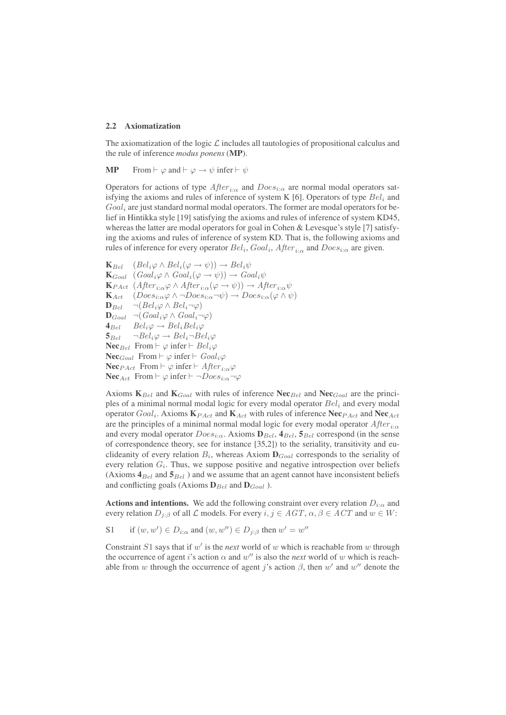#### **2.2 Axiomatization**

The axiomatization of the logic  $\mathcal L$  includes all tautologies of propositional calculus and the rule of inference *modus ponens* (**MP**).

**MP** From  $\vdash \varphi$  and  $\vdash \varphi \rightarrow \psi$  infer  $\vdash \psi$ 

Operators for actions of type  $After_{i:\alpha}$  and  $Does_{i:\alpha}$  are normal modal operators satisfying the axioms and rules of inference of system K [6]. Operators of type  $Bel<sub>i</sub>$  and  $Goal_i$  are just standard normal modal operators. The former are modal operators for belief in Hintikka style [19] satisfying the axioms and rules of inference of system KD45, whereas the latter are modal operators for goal in Cohen & Levesque's style [7] satisfying the axioms and rules of inference of system KD. That is, the following axioms and rules of inference for every operator  $Bel_i$ ,  $Goal_i$ ,  $After_{i:\alpha}$  and  $Does_{i:\alpha}$  are given.

 $\mathbf{K}_{Bel}$   $(Bel_i\varphi \wedge Bel_i(\varphi \rightarrow \psi)) \rightarrow Bel_i\psi$  $\mathbf{K}_{Goal}$   $(Goal_i\varphi \wedge Goal_i(\varphi \rightarrow \psi)) \rightarrow Goal_i\psi$ **K**<sub>PAct</sub>  $(After_{i:\alpha} \varphi \wedge After_{i:\alpha} (\varphi \rightarrow \psi)) \rightarrow After_{i:\alpha} \psi$ **K**<sub>Act</sub>  $(Does_{i:\alpha} \varphi \land \neg Does_{i:\alpha} \neg \psi) \rightarrow Does_{i:\alpha} (\varphi \land \psi)$ <br>  $\mathbf{D}_{Bel} \neg (Bel_i \varphi \land Bel_i \neg \varphi)$  $\neg (Bel_i \varphi \wedge Bel_i \neg \varphi)$ **D**<sub>Goal</sub>  $\neg(Goal_i\varphi \land Goal_i\neg\varphi)$  $4_{Bel}$   $Bel_i \varphi \rightarrow Bel_iBel_i \varphi$  $\mathbf{5}_{Bel} \quad \neg Bel_i \varphi \rightarrow Bel_i \neg Bel_i \varphi$ **Nec**<sub>Bel</sub> From  $\vdash \varphi$  infer  $\vdash Bel_i\varphi$ **Nec**<sub>Goal</sub> From  $\vdash \varphi$  infer  $\vdash$  Goal<sub>i</sub> $\varphi$ **Nec** $_{PAct}$  From  $\vdash \varphi$  infer  $\vdash$  After  $_{i:\alpha}\varphi$ **Nec**<sub>Act</sub> From  $\vdash \varphi$  infer  $\vdash \neg Does_{i:\alpha} \neg \varphi$ 

Axioms  $\mathbf{K}_{Bel}$  and  $\mathbf{K}_{Goal}$  with rules of inference  $\text{Nec}_{Bel}$  and  $\text{Nec}_{Goal}$  are the principles of a minimal normal modal logic for every modal operator  $Bel<sub>i</sub>$  and every modal operator  $Goal_i$ . Axioms  $\mathbf{K}_{PAct}$  and  $\mathbf{K}_{Act}$  with rules of inference  $\textbf{Nec}_{PAct}$  and  $\textbf{Nec}_{Act}$ are the principles of a minimal normal modal logic for every modal operator  $After_{i:\alpha}$ and every modal operator  $Does_{i:\alpha}$ . Axioms  $\mathbf{D}_{Bel}$ ,  $\mathbf{4}_{Bel}$ ,  $\mathbf{5}_{Bel}$  correspond (in the sense of correspondence theory, see for instance [35,2]) to the seriality, transitivity and euclideanity of every relation  $B_i$ , whereas Axiom  $\mathbf{D}_{Good}$  corresponds to the seriality of every relation  $G_i$ . Thus, we suppose positive and negative introspection over beliefs (Axioms  $4_{Bel}$  and  $5_{Bel}$ ) and we assume that an agent cannot have inconsistent beliefs and conflicting goals (Axioms  $D_{Bel}$  and  $D_{Goal}$ ).

**Actions and intentions.** We add the following constraint over every relation  $D_{i\alpha}$  and every relation  $D_{j:\beta}$  of all  $\mathcal L$  models. For every  $i, j \in AGT$ ,  $\alpha, \beta \in ACT$  and  $w \in W$ :

S1 if  $(w, w') \in D_{i:\alpha}$  and  $(w, w'') \in D_{j:\beta}$  then  $w' = w''$ 

Constraint  $S1$  says that if  $w'$  is the *next* world of w which is reachable from w through the occurrence of agent i's action  $\alpha$  and  $w''$  is also the *next* world of w which is reachable from w through the occurrence of agent j's action  $\beta$ , then w' and w'' denote the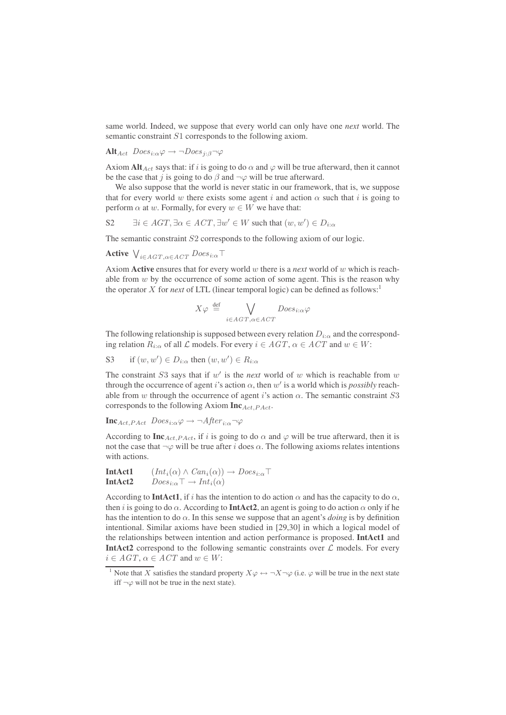same world. Indeed, we suppose that every world can only have one *next* world. The semantic constraint  $S1$  corresponds to the following axiom.

**Alt**<sub>Act</sub>  $Does_{i:\alpha}\varphi \rightarrow \neg Does_{i:\beta}\neg\varphi$ 

Axiom Alt<sub>Act</sub> says that: if i is going to do  $\alpha$  and  $\varphi$  will be true afterward, then it cannot be the case that j is going to do  $\beta$  and  $\neg \varphi$  will be true afterward.

We also suppose that the world is never static in our framework, that is, we suppose that for every world w there exists some agent i and action  $\alpha$  such that i is going to perform  $\alpha$  at w. Formally, for every  $w \in W$  we have that:

$$
S2 \qquad \exists i \in ACT, \exists \alpha \in ACT, \exists w' \in W \text{ such that } (w, w') \in D_{i:\alpha}
$$

The semantic constraint S2 corresponds to the following axiom of our logic.

**Active**  $\bigvee_{i \in AGT, \alpha \in ACT} Does_{i:\alpha} \top$ 

Axiom **Active** ensures that for every world w there is a *next* world of w which is reachable from  $w$  by the occurrence of some action of some agent. This is the reason why the operator  $X$  for *next* of LTL (linear temporal logic) can be defined as follows:<sup>1</sup>

$$
X\varphi \stackrel{\text{def}}{=} \bigvee_{i \in AGT, \alpha \in ACT} Does_{i:\alpha}\varphi
$$

The following relationship is supposed between every relation  $D_{i:\alpha}$  and the corresponding relation  $R_{i:\alpha}$  of all  $\mathcal L$  models. For every  $i \in AGT$ ,  $\alpha \in ACT$  and  $w \in W$ :

$$
S3 \quad \text{if } (w, w') \in D_{i:\alpha} \text{ then } (w, w') \in R_{i:\alpha}
$$

The constraint  $S3$  says that if  $w'$  is the *next* world of w which is reachable from  $w$ through the occurrence of agent i's action  $\alpha$ , then  $w'$  is a world which is *possibly* reachable from w through the occurrence of agent i's action  $\alpha$ . The semantic constraint S3 corresponds to the following Axiom Inc<sub>Act,P Act</sub>.

**Inc**<sub>Act</sub>, P<sub>Act</sub>  $Does_{i:\alpha} \varphi \rightarrow \neg After_{i:\alpha} \neg \varphi$ 

According to  $\text{Inc}_{Act,PAct}$ , if i is going to do  $\alpha$  and  $\varphi$  will be true afterward, then it is not the case that  $\neg \varphi$  will be true after i does  $\alpha$ . The following axioms relates intentions with actions.

**IntAct1**  $(Int_i(\alpha) \land Can_i(\alpha)) \rightarrow Does_{i:\alpha} \top$ <br>**IntAct2**  $Does_{i:\alpha} \top \rightarrow Int_i(\alpha)$  $Does_{i:\alpha} \top \rightarrow Int_i(\alpha)$ 

According to **IntAct1**, if i has the intention to do action  $\alpha$  and has the capacity to do  $\alpha$ , then i is going to do  $\alpha$ . According to **IntAct2**, an agent is going to do action  $\alpha$  only if he has the intention to do  $\alpha$ . In this sense we suppose that an agent's *doing* is by definition intentional. Similar axioms have been studied in [29,30] in which a logical model of the relationships between intention and action performance is proposed. **IntAct1** and **IntAct2** correspond to the following semantic constraints over  $\mathcal{L}$  models. For every  $i \in AGT$ ,  $\alpha \in ACT$  and  $w \in W$ :

<sup>&</sup>lt;sup>1</sup> Note that X satisfies the standard property  $X\varphi \leftrightarrow \neg X\neg \varphi$  (i.e.  $\varphi$  will be true in the next state iff  $\neg \varphi$  will not be true in the next state).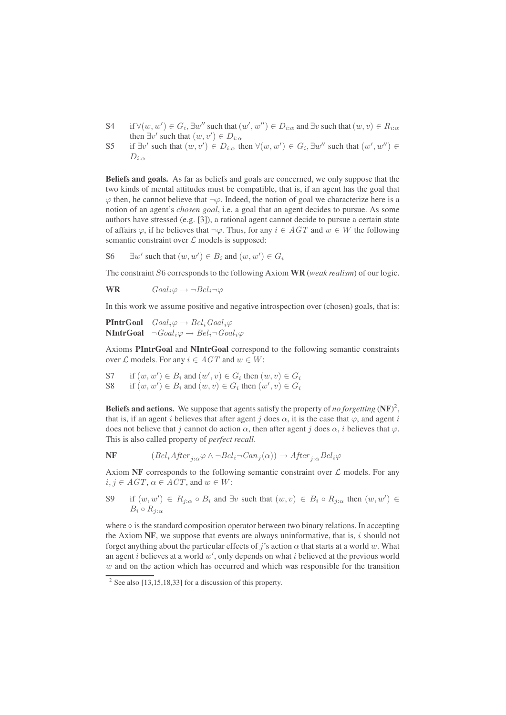- S4 if  $\forall (w, w') \in G_i$ ,  $\exists w''$  such that  $(w', w'') \in D_{i:\alpha}$  and  $\exists v$  such that  $(w, v) \in R_{i:\alpha}$ then  $\exists v'$  such that  $(w, v') \in D_{i:\alpha}$
- S5 if  $\exists v'$  such that  $(w, v') \in D_{i;\alpha}$  then  $\forall (w, w') \in G_i, \exists w''$  such that  $(w', w'') \in D_{i;\alpha}$  $D_{i:\alpha}$

**Beliefs and goals.** As far as beliefs and goals are concerned, we only suppose that the two kinds of mental attitudes must be compatible, that is, if an agent has the goal that  $\varphi$  then, he cannot believe that  $\neg \varphi$ . Indeed, the notion of goal we characterize here is a notion of an agent's *chosen goal*, i.e. a goal that an agent decides to pursue. As some authors have stressed (e.g. [3]), a rational agent cannot decide to pursue a certain state of affairs  $\varphi$ , if he believes that  $\neg \varphi$ . Thus, for any  $i \in AGT$  and  $w \in W$  the following semantic constraint over  $\mathcal L$  models is supposed:

S6 
$$
\exists w'
$$
 such that  $(w, w') \in B_i$  and  $(w, w') \in G_i$ 

The constraint S6 corresponds to the following Axiom **WR** (*weak realism*) of our logic.

$$
\mathbf{WR} \hspace{1.5cm} \hspace{1.5cm} \hspace{1.5cm} \hspace{1.5cm} \hspace{1.5cm} \hspace{1.5cm} \hspace{1.5cm} \hspace{1.5cm} \hspace{1.5cm} \hspace{1.5cm} \hspace{1.5cm} \hspace{1.5cm} \hspace{1.5cm} \Omega \hspace{1.2cm} \hspace{1.5cm} \alpha \hspace{1.4cm} \rightarrow \hspace{1.4cm} \neg \hspace{1.4cm} \hspace{1.5cm} \Omega \hspace{1.2cm} \hspace{1.5cm} \alpha \hspace{1.4cm} \rightarrow \hspace{1.4cm} \neg \hspace{1.4cm} \Omega \hspace{1.2cm} \hspace{1.5cm} \alpha \hspace{1.4cm} \rightarrow \hspace{1.4cm} \neg \hspace{1.4cm} \Omega \hspace{1.2cm} \nonumber
$$

In this work we assume positive and negative introspection over (chosen) goals, that is:

**PIntrGoal**  $Goal_i \varphi \rightarrow Bel_iGoal_i \varphi$ **NIntrGoal**  $\neg Goal_i \varphi \rightarrow Bel_i \neg Goal_i \varphi$ 

Axioms **PIntrGoal** and **NIntrGoal** correspond to the following semantic constraints over  $\mathcal L$  models. For any  $i \in AGT$  and  $w \in W$ :

S7 if  $(w, w') \in B_i$  and  $(w', v) \in G_i$  then  $(w, v) \in G_i$ S8 if  $(w, w') \in B_i$  and  $(w, v) \in G_i$  then  $(w', v) \in G_i$ 

**Beliefs and actions.** We suppose that agents satisfy the property of *no forgetting* (**NF**) 2, that is, if an agent i believes that after agent j does  $\alpha$ , it is the case that  $\varphi$ , and agent i does not believe that j cannot do action  $\alpha$ , then after agent j does  $\alpha$ , i believes that  $\varphi$ . This is also called property of *perfect recall*.

$$
\mathbf{NF} \qquad \qquad (Bel_i After_{j:\alpha} \varphi \wedge \neg Bel_i \neg Can_j(\alpha)) \rightarrow After_{j:\alpha} Bel_i \varphi
$$

Axiom **NF** corresponds to the following semantic constraint over  $\mathcal{L}$  models. For any  $i, j \in AGT$ ,  $\alpha \in ACT$ , and  $w \in W$ :

S9 if 
$$
(w, w') \in R_{j:\alpha} \circ B_i
$$
 and  $\exists v$  such that  $(w, v) \in B_i \circ R_{j:\alpha}$  then  $(w, w') \in B_i \circ R_{j:\alpha}$ 

where  $\circ$  is the standard composition operator between two binary relations. In accepting the Axiom **NF**, we suppose that events are always uninformative, that is, i should not forget anything about the particular effects of j's action  $\alpha$  that starts at a world w. What an agent *i* believes at a world  $w'$ , only depends on what *i* believed at the previous world  $w$  and on the action which has occurred and which was responsible for the transition

<sup>&</sup>lt;sup>2</sup> See also [13,15,18,33] for a discussion of this property.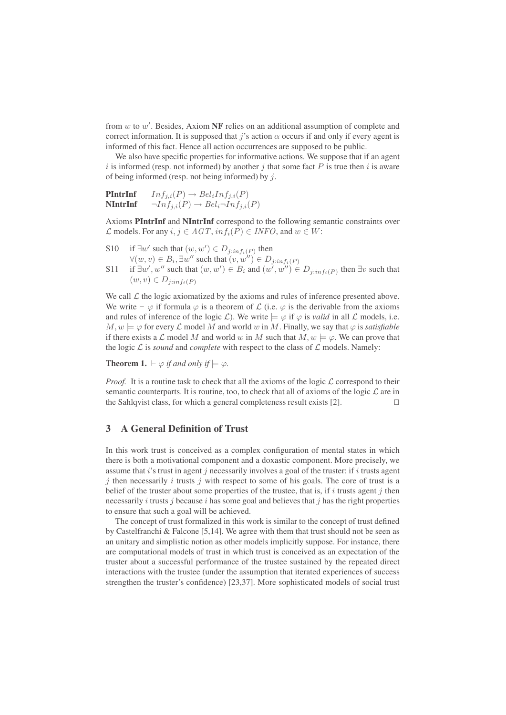from  $w$  to  $w'$ . Besides, Axiom **NF** relies on an additional assumption of complete and correct information. It is supposed that j's action  $\alpha$  occurs if and only if every agent is informed of this fact. Hence all action occurrences are supposed to be public.

We also have specific properties for informative actions. We suppose that if an agent i is informed (resp. not informed) by another j that some fact P is true then i is aware of being informed (resp. not being informed) by  $j$ .

**PIntrInf**  $Inf_{j,i}(P) \rightarrow Bel_iInf_{j,i}(P)$ **NIntrInf**  $\neg Inf_{j,i}(P) \rightarrow Bel_i \neg Inf_{j,i}(P)$ 

Axioms **PIntrInf** and **NIntrInf** correspond to the following semantic constraints over  $\mathcal L$  models. For any  $i, j \in AGT$ ,  $inf_i(P) \in INFO$ , and  $w \in W$ :

- S10 if  $\exists w'$  such that  $(w, w') \in D_{j:inf_i(P)}$  then  $\forall (w, v) \in B_i$ ,  $\exists w''$  such that  $(v, w'') \in D_{j:inf_i(P)}$
- S11 if  $\exists w', w''$  such that  $(w, w') \in B_i$  and  $(w', w'') \in D_{j:inf_i(P)}$  then  $\exists v$  such that  $(w, v) \in D_{j: inf_i(P)}$

We call  $\mathcal L$  the logic axiomatized by the axioms and rules of inference presented above. We write  $\vdash \varphi$  if formula  $\varphi$  is a theorem of  $\mathcal L$  (i.e.  $\varphi$  is the derivable from the axioms and rules of inference of the logic  $\mathcal{L}$ ). We write  $\models \varphi$  if  $\varphi$  is *valid* in all  $\mathcal{L}$  models, i.e.  $M, w \models \varphi$  for every  $\mathcal L$  model M and world w in M. Finally, we say that  $\varphi$  is *satisfiable* if there exists a L model M and world w in M such that  $M, w \models \varphi$ . We can prove that the logic  $\mathcal L$  is *sound* and *complete* with respect to the class of  $\mathcal L$  models. Namely:

**Theorem 1.**  $\vdash \varphi$  *if and only if*  $\models \varphi$ *.* 

*Proof.* It is a routine task to check that all the axioms of the logic  $\mathcal L$  correspond to their semantic counterparts. It is routine, too, to check that all of axioms of the logic  $\mathcal L$  are in the Sahlavist class, for which a general completeness result exists [2]. the Sahlqvist class, for which a general completeness result exists [2].

### **3 A General Definition of Trust**

In this work trust is conceived as a complex configuration of mental states in which there is both a motivational component and a doxastic component. More precisely, we assume that i's trust in agent j necessarily involves a goal of the truster: if i trusts agent i then necessarily i trusts i with respect to some of his goals. The core of trust is a belief of the truster about some properties of the trustee, that is, if i trusts agent j then necessarily i trusts j because i has some goal and believes that j has the right properties to ensure that such a goal will be achieved.

The concept of trust formalized in this work is similar to the concept of trust defined by Castelfranchi & Falcone [5,14]. We agree with them that trust should not be seen as an unitary and simplistic notion as other models implicitly suppose. For instance, there are computational models of trust in which trust is conceived as an expectation of the truster about a successful performance of the trustee sustained by the repeated direct interactions with the trustee (under the assumption that iterated experiences of success strengthen the truster's confidence) [23,37]. More sophisticated models of social trust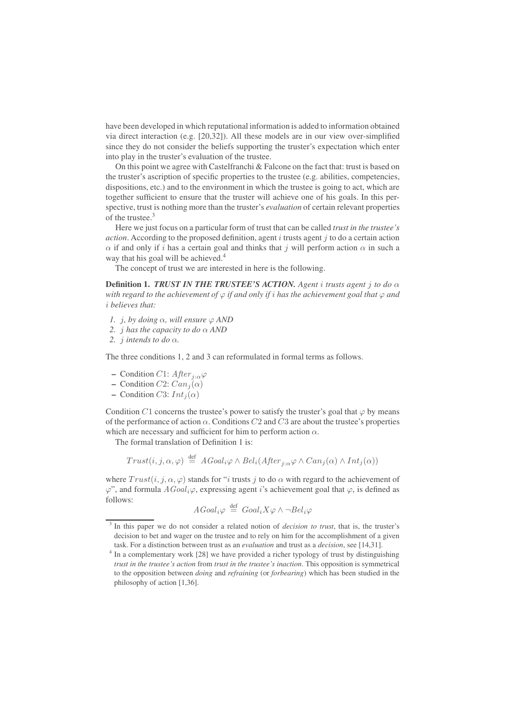have been developed in which reputational information is added to information obtained via direct interaction (e.g. [20,32]). All these models are in our view over-simplified since they do not consider the beliefs supporting the truster's expectation which enter into play in the truster's evaluation of the trustee.

On this point we agree with Castelfranchi  $\&$  Falcone on the fact that: trust is based on the truster's ascription of specific properties to the trustee (e.g. abilities, competencies, dispositions, etc.) and to the environment in which the trustee is going to act, which are together sufficient to ensure that the truster will achieve one of his goals. In this perspective, trust is nothing more than the truster's *evaluation* of certain relevant properties of the trustee.<sup>3</sup>

Here we just focus on a particular form of trust that can be called *trust in the trustee's action*. According to the proposed definition, agent i trusts agent j to do a certain action  $\alpha$  if and only if i has a certain goal and thinks that j will perform action  $\alpha$  in such a way that his goal will be achieved.<sup>4</sup>

The concept of trust we are interested in here is the following.

**Definition 1.** *TRUST IN THE TRUSTEE'S ACTION. Agent* i *trusts agent* j *to do* α *with regard to the achievement of*  $\varphi$  *if and only if i has the achievement goal that*  $\varphi$  *and* i *believes that:*

- *1. j, by doing*  $\alpha$ *, will ensure*  $\varphi$  *AND*
- *2.* j *has the capacity to do* α *AND*
- *2. j intends to do*  $\alpha$ *.*

The three conditions 1, 2 and 3 can reformulated in formal terms as follows.

- **–** Condition C1:  $After_{i:\alpha} \varphi$
- **–** Condition  $C2$ :  $Cani(\alpha)$
- **–** Condition C3:  $Int_i(\alpha)$

Condition C1 concerns the trustee's power to satisfy the truster's goal that  $\varphi$  by means of the performance of action  $\alpha$ . Conditions  $C_2$  and  $C_3$  are about the trustee's properties which are necessary and sufficient for him to perform action  $\alpha$ .

The formal translation of Definition 1 is:

 $Trust(i, j, \alpha, \varphi) \stackrel{\text{def}}{=} AGoal_i\varphi \wedge Bel_i(After_{j:\alpha}\varphi \wedge Can_j(\alpha) \wedge Int_j(\alpha))$ 

where  $Trust(i, i, \alpha, \varphi)$  stands for "*i* trusts *i* to do  $\alpha$  with regard to the achievement of  $\varphi$ ", and formula  $A\text{Goal}_i\varphi$ , expressing agent i's achievement goal that  $\varphi$ , is defined as follows:

$$
A\,Goal_i \varphi \stackrel{\text{def}}{=} \, Goal_i X \varphi \wedge \neg Bel_i \varphi
$$

<sup>3</sup> In this paper we do not consider a related notion of *decision to trust*, that is, the truster's decision to bet and wager on the trustee and to rely on him for the accomplishment of a given task. For a distinction between trust as an *evaluation* and trust as a *decision*, see [14,31].

<sup>&</sup>lt;sup>4</sup> In a complementary work [28] we have provided a richer typology of trust by distinguishing *trust in the trustee's action* from *trust in the trustee's inaction*. This opposition is symmetrical to the opposition between *doing* and *refraining* (or *forbearing*) which has been studied in the philosophy of action [1,36].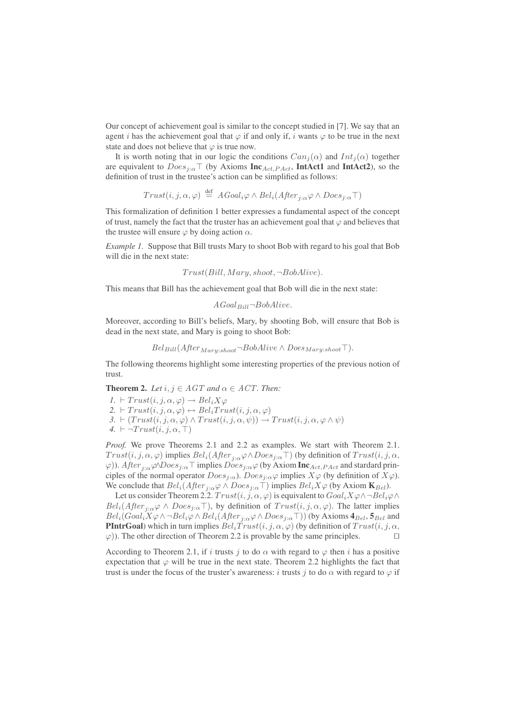Our concept of achievement goal is similar to the concept studied in [7]. We say that an agent i has the achievement goal that  $\varphi$  if and only if, i wants  $\varphi$  to be true in the next state and does not believe that  $\varphi$  is true now.

It is worth noting that in our logic the conditions  $Can<sub>i</sub>(\alpha)$  and  $Int<sub>i</sub>(\alpha)$  together are equivalent to  $Does_{i:\alpha}$ <sup>T</sup> (by Axioms  $Inc_{Act, PAct}$ , IntAct1 and IntAct2), so the definition of trust in the trustee's action can be simplified as follows:

$$
Trust(i, j, \alpha, \varphi) \stackrel{\text{def}}{=} AGoal_i\varphi \wedge Bel_i(After_{j:\alpha}\varphi \wedge Does_{j:\alpha} \top)
$$

This formalization of definition 1 better expresses a fundamental aspect of the concept of trust, namely the fact that the truster has an achievement goal that  $\varphi$  and believes that the trustee will ensure  $\varphi$  by doing action  $\alpha$ .

*Example 1.* Suppose that Bill trusts Mary to shoot Bob with regard to his goal that Bob will die in the next state:

$$
Trust(Bill, Mary, shoot, \neg BobAlive).
$$

This means that Bill has the achievement goal that Bob will die in the next state:

$$
A\,Goal_{Bill} \neg BobAlive.
$$

Moreover, according to Bill's beliefs, Mary, by shooting Bob, will ensure that Bob is dead in the next state, and Mary is going to shoot Bob:

$$
Bel_{Bill}(After_{Mary:shoot} \neg BobAlive \land Does_{Mary:shoot} \top).
$$

The following theorems highlight some interesting properties of the previous notion of trust.

**Theorem 2.** *Let*  $i, j \in AGT$  *and*  $\alpha \in ACT$ *. Then:* 

*1.*  $\vdash Trust(i, j, \alpha, \varphi) \rightarrow Bel_iX\varphi$ 2.  $\vdash Trust(i, j, \alpha, \varphi) \leftrightarrow Bel_iTrust(i, j, \alpha, \varphi)$ *3.*  $\vdash (Trust(i, j, \alpha, \varphi) \land Trust(i, j, \alpha, \psi)) \rightarrow Trust(i, j, \alpha, \varphi \land \psi)$ *4.*  $\vdash \neg Trust(i, j, \alpha, \top)$ 

*Proof.* We prove Theorems 2.1 and 2.2 as examples. We start with Theorem 2.1.  $Trust(i, j, \alpha, \varphi)$  implies  $Bel_i(After_{j:\alpha}\varphi \wedge Does_{j:\alpha} \top)$  (by definition of  $Trust(i, j, \alpha, \varphi)$  $\varphi$ )). After  $i:\alpha\varphi\wedge Does_{j:\alpha}$  implies  $Does_{j:\alpha}\varphi$  (by Axiom **Inc**<sub>Act, PAct</sub> and stardard principles of the normal operator  $Does_{i:\alpha}$ ).  $Does_{i:\alpha} \varphi$  implies  $X\varphi$  (by definition of  $X\varphi$ ). We conclude that  $Bel_i(After_{j:\alpha} \varphi \wedge Does_{j:\alpha} \top)$  implies  $Bel_i X \varphi$  (by Axiom  $\mathbf{K}_{Bel}$ ).

Let us consider Theorem 2.2.  $Trust(i, j, \alpha, \varphi)$  is equivalent to  $Goal_i X \varphi \wedge \neg Bel_i \varphi \wedge$  $Bel_i(After_{i:\alpha}\varphi \wedge Does_{i:\alpha} \top)$ , by definition of  $Trust(i, j, \alpha, \varphi)$ . The latter implies  $Bel_i(Goal_iX\varphi\wedge \neg Bel_i\varphi\wedge Bel_i(After_{i:\alpha}\varphi\wedge Does_{i:\alpha}\top))$  (by Axioms  $\mathbf{4}_{Bel}, \mathbf{5}_{Bel}$  and **PIntrGoal**) which in turn implies  $Bel_iTrust(i, j, \alpha, \varphi)$  (by definition of  $Trust(i, j, \alpha, \varphi)$  $\varphi$ )). The other direction of Theorem 2.2 is provable by the same principles.

According to Theorem 2.1, if i trusts j to do  $\alpha$  with regard to  $\varphi$  then i has a positive expectation that  $\varphi$  will be true in the next state. Theorem 2.2 highlights the fact that trust is under the focus of the truster's awareness: i trusts j to do  $\alpha$  with regard to  $\varphi$  if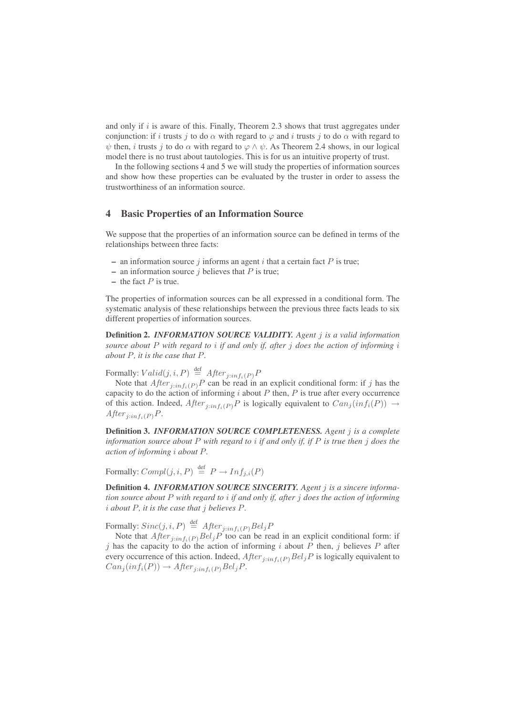and only if  $i$  is aware of this. Finally, Theorem 2.3 shows that trust aggregates under conjunction: if i trusts j to do  $\alpha$  with regard to  $\varphi$  and i trusts j to do  $\alpha$  with regard to  $\psi$  then, *i* trusts *j* to do  $\alpha$  with regard to  $\varphi \wedge \psi$ . As Theorem 2.4 shows, in our logical model there is no trust about tautologies. This is for us an intuitive property of trust.

In the following sections 4 and 5 we will study the properties of information sources and show how these properties can be evaluated by the truster in order to assess the trustworthiness of an information source.

#### **4 Basic Properties of an Information Source**

We suppose that the properties of an information source can be defined in terms of the relationships between three facts:

- **–** an information source  $j$  informs an agent  $i$  that a certain fact  $P$  is true;
- **–** an information source j believes that P is true;
- $-$  the fact  $P$  is true.

The properties of information sources can be all expressed in a conditional form. The systematic analysis of these relationships between the previous three facts leads to six different properties of information sources.

**Definition 2.** *INFORMATION SOURCE VALIDITY. Agent* j *is a valid information source about* P *with regard to* i *if and only if, after* j *does the action of informing* i *about* P*, it is the case that* P*.*

Formally:  $Valid(j, i, P) \stackrel{\text{def}}{=} After_{j:inf_i(P)}P$ 

Note that  $After_{j:inf_i(P)}P$  can be read in an explicit conditional form: if j has the capacity to do the action of informing  $i$  about  $P$  then,  $P$  is true after every occurrence of this action. Indeed,  $After_{i:inf_i(P)}P$  is logically equivalent to  $Can_i(inf_i(P)) \rightarrow$ After  $_{i:inf_i (P)} P$ .

**Definition 3.** *INFORMATION SOURCE COMPLETENESS. Agent* j *is a complete information source about* P *with regard to* i *if and only if, if* P *is true then* j *does the action of informing* i *about* P*.*

Formally:  $Compl(j, i, P) \stackrel{\text{def}}{=} P \rightarrow Inf_{j,i}(P)$ 

**Definition 4.** *INFORMATION SOURCE SINCERITY. Agent* j *is a sincere information source about* P *with regard to* i *if and only if, after* j *does the action of informing* i *about* P*, it is the case that* j *believes* P*.*

Formally:  $Sinc(j, i, P) \stackrel{\text{def}}{=} After_{j:inf_i(P)}Bel_jP$ 

Note that  $After_{j:inf_i(P)}Bel_jP$  too can be read in an explicit conditional form: if j has the capacity to do the action of informing i about  $\overrightarrow{P}$  then, j believes  $\overrightarrow{P}$  after every occurrence of this action. Indeed,  $After <sub>i:inf(P)</sub>$ </sub>  $Bel<sub>i</sub>P$  is logically equivalent to  $Can_j(inf_i(P)) \rightarrow After_{i:inf_i(P)}Bel_jP.$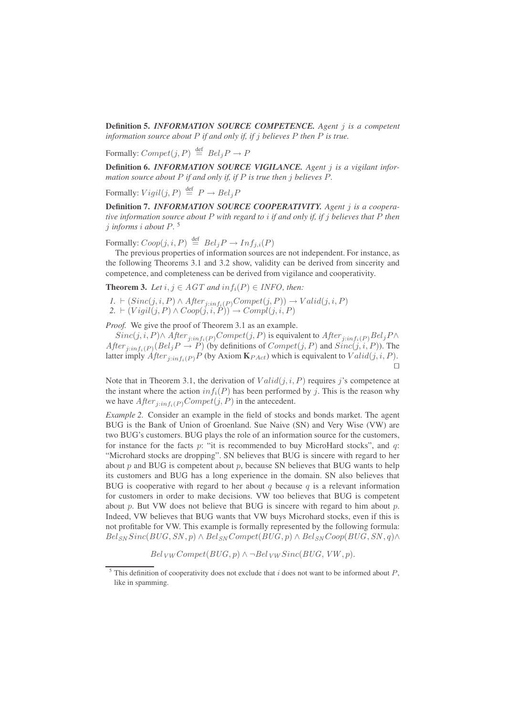**Definition 5.** *INFORMATION SOURCE COMPETENCE. Agent* j *is a competent information source about* P *if and only if, if* j *believes* P *then* P *is true.*

Formally:  $Compet(j, P) \stackrel{\text{def}}{=} Bel_j P \rightarrow P$ 

**Definition 6.** *INFORMATION SOURCE VIGILANCE. Agent* j *is a vigilant information source about* P *if and only if, if* P *is true then* j *believes* P*.*

Formally:  $Vigil(j, P) \stackrel{\text{def}}{=} P \rightarrow Bel_jP$ 

**Definition 7.** *INFORMATION SOURCE COOPERATIVITY. Agent* j *is a cooperative information source about* P *with regard to* i *if and only if, if* j *believes that* P *then* j *informs* i *about* P*.* <sup>5</sup>

Formally:  $Coop(j, i, P) \stackrel{\text{def}}{=} Bel_jP \rightarrow Inf_{j,i}(P)$ 

The previous properties of information sources are not independent. For instance, as the following Theorems 3.1 and 3.2 show, validity can be derived from sincerity and competence, and completeness can be derived from vigilance and cooperativity.

**Theorem 3.** *Let*  $i, j \in AGT$  *and*  $inf_i(P) \in INFO$ *, then:* 

 $1. \vdash (Sinc(j, i, P) \land After_{j:inf_{i}(P)} Compet(j, P)) \rightarrow Valid(j, i, P)$ 

 $2. \vdash (Vigil(j, P) \land Coop(j, i, P)) \rightarrow Compl(j, i, P)$ 

*Proof.* We give the proof of Theorem 3.1 as an example.

 $Sinc(j, i, P) \wedge After_{j:inf_i(P)} Compet(j, P)$  is equivalent to  $After_{j:inf_i(P)} Bel_j P \wedge$  $After_{j:inf_i(P)}(Bel_j P \to P)$  (by definitions of  $Compet(j, P)$  and  $Sinc(j, i, P)$ ). The latter imply  $\hat{After}$ <sub>i:inf<sub>i</sub>(P)</sub>P (by Axiom  $\mathbf{K}_{PAct}$ ) which is equivalent to  $Valid(j, i, P)$ .  $\Box$ 

Note that in Theorem 3.1, the derivation of  $Valid(i, i, P)$  requires j's competence at the instant where the action  $inf_i(P)$  has been performed by j. This is the reason why we have  $After_{j:inf_i(P)} Compute(j, P)$  in the antecedent.

*Example 2.* Consider an example in the field of stocks and bonds market. The agent BUG is the Bank of Union of Groenland. Sue Naive (SN) and Very Wise (VW) are two BUG's customers. BUG plays the role of an information source for the customers, for instance for the facts  $p$ : "it is recommended to buy MicroHard stocks", and  $q$ : "Microhard stocks are dropping". SN believes that BUG is sincere with regard to her about  $p$  and BUG is competent about  $p$ , because SN believes that BUG wants to help its customers and BUG has a long experience in the domain. SN also believes that BUG is cooperative with regard to her about q because q is a relevant information for customers in order to make decisions. VW too believes that BUG is competent about  $p$ . But VW does not believe that BUG is sincere with regard to him about  $p$ . Indeed, VW believes that BUG wants that VW buys Microhard stocks, even if this is not profitable for VW. This example is formally represented by the following formula:  $Bel_{SN}Sinc(BUG, SN, p) \wedge Bel_{SN}Compet(BUG, p) \wedge Bel_{SN}Coop(BUG, SN, q) \wedge$ 

 $Bel_{VW} Compute(BUG, p) \wedge \neg Bel_{VW} Sinc(BUG, VW, p).$ 

<sup>&</sup>lt;sup>5</sup> This definition of cooperativity does not exclude that  $i$  does not want to be informed about  $P$ , like in spamming.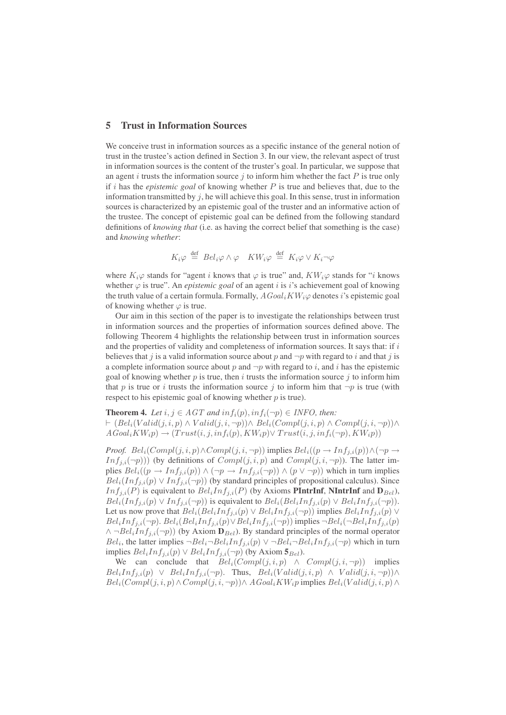# **5 Trust in Information Sources**

We conceive trust in information sources as a specific instance of the general notion of trust in the trustee's action defined in Section 3. In our view, the relevant aspect of trust in information sources is the content of the truster's goal. In particular, we suppose that an agent i trusts the information source i to inform him whether the fact  $P$  is true only if  $i$  has the *epistemic goal* of knowing whether  $P$  is true and believes that, due to the information transmitted by  $j$ , he will achieve this goal. In this sense, trust in information sources is characterized by an epistemic goal of the truster and an informative action of the trustee. The concept of epistemic goal can be defined from the following standard definitions of *knowing that* (i.e. as having the correct belief that something is the case) and *knowing whether*:

$$
K_i \varphi \stackrel{\text{def}}{=} \text{Bel}_i \varphi \land \varphi \quad KW_i \varphi \stackrel{\text{def}}{=} K_i \varphi \lor K_i \neg \varphi
$$

where  $K_i\varphi$  stands for "agent i knows that  $\varphi$  is true" and,  $KW_i\varphi$  stands for "i knows" whether  $\varphi$  is true". An *epistemic goal* of an agent i is i's achievement goal of knowing the truth value of a certain formula. Formally,  $AGoal_iKW_i\varphi$  denotes i's epistemic goal of knowing whether  $\varphi$  is true.

Our aim in this section of the paper is to investigate the relationships between trust in information sources and the properties of information sources defined above. The following Theorem 4 highlights the relationship between trust in information sources and the properties of validity and completeness of information sources. It says that: if  $i$ believes that j is a valid information source about p and  $\neg p$  with regard to i and that j is a complete information source about p and  $\neg p$  with regard to i, and i has the epistemic goal of knowing whether p is true, then i trusts the information source j to inform him that p is true or i trusts the information source j to inform him that  $\neg p$  is true (with respect to his epistemic goal of knowing whether  $p$  is true).

**Theorem 4.** *Let*  $i, j \in AGT$  *and*  $inf_i(p), inf_i(\neg p) \in INFO$ , *then:*  $\vdash (Bel_i(Valid(j, i, p) \land Valid(j, i, \neg p)) \land Bel_i(Compl(j, i, p) \land Compl(j, i, \neg p)) \land$  $AGoal_iKW_ip) \rightarrow (Trust(i, j, inf_i(p), KW_ip) \vee Trust(i, j, inf_i(\neg p), KW_ip))$ 

*Proof.*  $Bel_i(Compl(j, i, p) \wedge Compl(j, i, \neg p))$  implies  $Bel_i((p \rightarrow Inf_{j,i}(p)) \wedge (\neg p \rightarrow$  $Inf_{j,i}(\neg p))$ ) (by definitions of  $Compl(j,i,p)$  and  $Compl(j,i,\neg p)$ ). The latter implies  $Bel_i((p \to Inf_{j,i}(p)) \land (\neg p \to Inf_{j,i}(\neg p)) \land (p \lor \neg p))$  which in turn implies  $Bel_i(Inf_{j,i}(p) \vee Inf_{j,i}(\neg p))$  (by standard principles of propositional calculus). Since  $Inf_{j,i}(P)$  is equivalent to  $Bel_iInf_{j,i}(P)$  (by Axioms **PIntrInf**, **NIntrInf** and  $\mathbf{D}_{Bel}$ ),  $Bel_i(Inf_{j,i}(p) \vee Inf_{j,i}(\neg p))$  is equivalent to  $Bel_i(Bel_iInf_{j,i}(p) \vee Bel_iInf_{j,i}(\neg p)).$ Let us now prove that  $Bel_i(Bel_iInf_{j,i}(p) \vee Bel_iInf_{j,i}(\neg p))$  implies  $Bel_iInf_{j,i}(p) \vee$  $Bel_iInf_{j,i}(\neg p)$ .  $Bel_i(Bel_iInf_{j,i}(p) \vee Bel_iInf_{j,i}(\neg p))$  implies  $\neg Bel_i(\neg Bel_iInf_{j,i}(p)$ ∧ ¬Bel<sub>i</sub>Inf<sub>j,i</sub>(¬p)) (by Axiom **D**<sub>Bel</sub>). By standard principles of the normal operator Bel<sub>i</sub>, the latter implies  $\neg Bel_i \neg Bel_i Inf_{j,i}(p) \vee \neg Bel_i \neg Bel_i Inf_{j,i}(\neg p)$  which in turn implies  $Bel_iInf_{j,i}(p) \vee Bel_iInf_{j,i}(\neg p)$  (by Axiom  $\mathbf{5}_{Bel}$ ).

We can conclude that  $Bel_i(Compl(j, i, p) \wedge Compl(j, i, \neg p))$  implies  $Bel_iInf_{j,i}(p) \vee Bel_iInf_{j,i}(\neg p)$ . Thus,  $Bel_i(Valid(j,i,p) \wedge Valid(j,i,\neg p)) \wedge$  $Bel_i(Compl(j, i, p) \wedge Compl(j, i, \neg p)) \wedge AGoal_iKW_i p$  implies  $Bel_i(Valid(j, i, p) \wedge p)$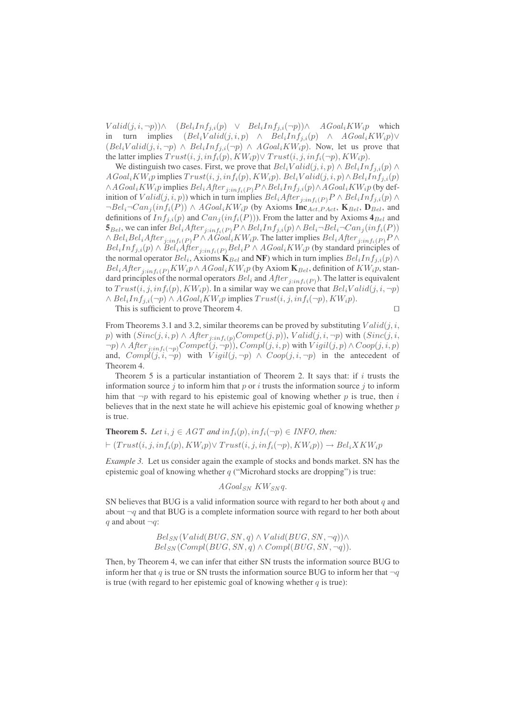$Valid(j, i, \neg p)) \wedge (Bel_iInf_{i,i}(p) \vee Bel_iInf_{i,i}(\neg p)) \wedge AGoal_iKW_i p$  which in turn implies  $(Bel_iValid(j,i,p) \wedge Bel_iInf_{j,i}(p) \wedge AGoal_iKW_ip) \vee$  $(Bel_iValid(j, i, \neg p) \wedge Bel_iInf_{j,i}(\neg p) \wedge AGoal_iKW_ip)$ . Now, let us prove that the latter implies  $Trust(i, j, inf_i(p), KW_i p) \lor Trust(i, j, inf_i(\neg p), KW_i p).$ 

We distinguish two cases. First, we prove that  $Bel<sub>i</sub>Valid(j, i, p) \wedge Bel<sub>i</sub>Inf<sub>i,i</sub>(p) \wedge$  $AGoal_iKW_ip$  implies  $Trust(i, j, inf_i(p), KW_ip)$ .  $Bel_iValid(j, i, p) \wedge Bel_iInf_{j,i}(p)$  $\wedge AGoal_iKW_ip$  implies  $Bel_iAfter_{j:inf_i(P)}P \wedge Bel_iInf_{j,i}(p) \wedge AGoal_iKW_ip$  (by definition of  $Valid(j, i, p)$ ) which in turn implies  $Bel_iAfter_{i:inf_i(p)}P \wedge Bel_iInf_{j,i}(p) \wedge$  $\neg Bel_i \neg Can_i(inf_i(P)) \land AGoal_iKW_ip$  (by Axioms  $Inc_{Act, PAct}, K_{Bel}, D_{Bel},$  and definitions of  $Inf_{j,i}(p)$  and  $Can_j(inf_i(P))$ ). From the latter and by Axioms  $\mathbf{4}_{Bel}$  and  $\mathbf{5}_{Bel}$ , we can infer  $Bel_iAfter_{j:inf_i(P)}P \wedge Bel_iInf_{j,i}(p) \wedge Bel_i \neg Bel_i \neg Can_j(inf_i(P))$ ∧  $Bel_iBel_i After_{j:inf_i(P)}P \wedge A Goal_i KW_i p.$  The latter implies  $Bel_i After_{j:inf_i(P)}P \wedge$  $Bel_iInf_{j,i}(p) \wedge Bel_iAfter_{j:inf_i(P)}Bel_iP \wedge AGoal_iKW_ip$  (by standard principles of the normal operator  $Bel_i$ , Axioms  $\mathbf{K}_{Bel}$  and **NF**) which in turn implies  $Bel_iInf_{j,i}(p) \wedge$  $Bel_iAfter_{i:inf_i (P)} KW_i p \wedge AGoal_i KW_i p$  (by Axiom  $\mathbf{K}_{Bel}$ , definition of  $KW_i p$ , standard principles of the normal operators  $Bel_i$  and  $After_{j:inf_i(P)}$ ). The latter is equivalent to  $Trust(i, j, inf_i(p), KW_i p)$ . In a similar way we can prove that  $Bel_i Valid(j, i, \neg p)$  $\wedge$  Bel<sub>i</sub>Inf<sub>i,i</sub>(¬p)  $\wedge$  A Goal<sub>i</sub>KW<sub>i</sub>p implies  $Trust(i, j, inf_i(¬p), KW_i p)$ .

This is sufficient to prove Theorem 4.

From Theorems 3.1 and 3.2, similar theorems can be proved by substituting  $Valid(j, i, j)$ p) with  $(Sinc(j, i, p) \wedge After_{j:inf_i(p)} Compet(j, p))$ ,  $Valid(j, i, \neg p)$  with  $(Sinc(j, i, p))$  $\neg p) \wedge After_{j:inf_i(\neg p)} Compet(j, \neg p))$ ,  $Compl(j, i, p)$  with  $Vigil(j, p) \wedge Coop(j, i, p)$ and,  $Comp(i, i, \neg p)$  with  $Vigil(j, \neg p) \wedge Cop(j, i, \neg p)$  in the antecedent of Theorem 4.

Theorem 5 is a particular instantiation of Theorem 2. It says that: if  $i$  trusts the information source j to inform him that p or i trusts the information source j to inform him that  $\neg p$  with regard to his epistemic goal of knowing whether p is true, then i believes that in the next state he will achieve his epistemic goal of knowing whether  $p$ is true.

**Theorem 5.** *Let*  $i, j \in AGT$  *and*  $inf_i(p), inf_i(\neg p) \in INFO$ , *then:*  $\vdash (Trust(i, i, inf_i(p), KW_ip) \lor Trust(i, i, inf_i(\neg p), KW_ip)) \rightarrow Bel_i XKW_i p$ 

*Example 3.* Let us consider again the example of stocks and bonds market. SN has the epistemic goal of knowing whether  $q$  ("Microhard stocks are dropping") is true:

 $AGoals_N$   $KW_{SN}q$ .

SN believes that BUG is a valid information source with regard to her both about  $q$  and about  $\neg q$  and that BUG is a complete information source with regard to her both about q and about  $\neg q$ :

> $Bel_{SN}(Valid(BUG, SN, q) \wedge Valid(BUG, SN, \neg q)) \wedge$  $Bel_{SN}(Compl(BUG, SN, q) \wedge Compl(BUG, SN, \neg q)).$

Then, by Theorem 4, we can infer that either SN trusts the information source BUG to inform her that q is true or SN trusts the information source BUG to inform her that  $\neg q$ is true (with regard to her epistemic goal of knowing whether  $q$  is true):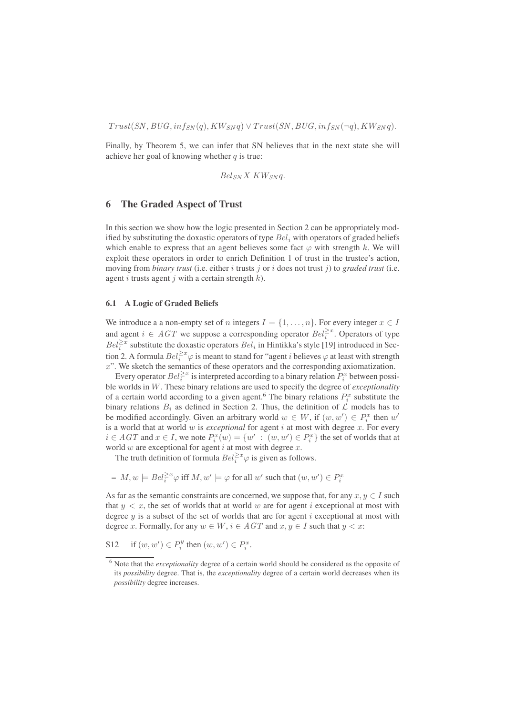$Trust(SN, BUG, inf_{SN}(q), KW_{SN}q) \vee Trust(SN, BUG, inf_{SN}(\neg q), KW_{SN}q).$ 

Finally, by Theorem 5, we can infer that SN believes that in the next state she will achieve her goal of knowing whether  $q$  is true:

 $Bels_{N} X KW$ SNG.

## **6 The Graded Aspect of Trust**

In this section we show how the logic presented in Section 2 can be appropriately modified by substituting the doxastic operators of type  $Bel<sub>i</sub>$  with operators of graded beliefs which enable to express that an agent believes some fact  $\varphi$  with strength k. We will exploit these operators in order to enrich Definition 1 of trust in the trustee's action, moving from *binary trust* (i.e. either i trusts j or i does not trust j) to *graded trust* (i.e. agent i trusts agent j with a certain strength  $k$ ).

### **6.1 A Logic of Graded Beliefs**

We introduce a a non-empty set of n integers  $I = \{1, \ldots, n\}$ . For every integer  $x \in I$ and agent  $i \in AGT$  we suppose a corresponding operator  $Bel_i^{\geq x}$ . Operators of type  $Bel_i^{\geq x}$  substitute the doxastic operators  $Bel_i$  in Hintikka's style [19] introduced in Section 2. A formula  $Bel_i^{\geq x} \varphi$  is meant to stand for "agent *i* believes  $\varphi$  at least with strength x". We sketch the semantics of these operators and the corresponding axiomatization.

Every operator  $Bel_i^{\geq x}$  is interpreted according to a binary relation  $P_i^x$  between possible worlds in W. These binary relations are used to specify the degree of *exceptionality* of a certain world according to a given agent.<sup>6</sup> The binary relations  $P_i^x$  substitute the binary relations  $B_i$  as defined in Section 2. Thus, the definition of  $\mathcal L$  models has to be modified accordingly. Given an arbitrary world  $w \in W$ , if  $(w, w') \in P_i^x$  then  $w'$ is a world that at world w is *exceptional* for agent i at most with degree x. For every  $i \in AGT$  and  $x \in I$ , we note  $P_i^x(w) = \{w' : (w, w') \in P_i^x\}$  the set of worlds that at world  $w$  are exceptional for agent  $i$  at most with degree  $x$ .

The truth definition of formula  $Bel_i^{\geq x} \varphi$  is given as follows.

 $- M, w \models Bel_i^{\geq x} \varphi \text{ iff } M, w' \models \varphi \text{ for all } w' \text{ such that } (w, w') \in P_i^x$ 

As far as the semantic constraints are concerned, we suppose that, for any  $x, y \in I$  such that  $y < x$ , the set of worlds that at world w are for agent i exceptional at most with degree  $y$  is a subset of the set of worlds that are for agent i exceptional at most with degree x. Formally, for any  $w \in W$ ,  $i \in AGT$  and  $x, y \in I$  such that  $y < x$ :

S12 if  $(w, w') \in P_i^y$  then  $(w, w') \in P_i^x$ .

<sup>6</sup> Note that the *exceptionality* degree of a certain world should be considered as the opposite of its *possibility* degree. That is, the *exceptionality* degree of a certain world decreases when its *possibility* degree increases.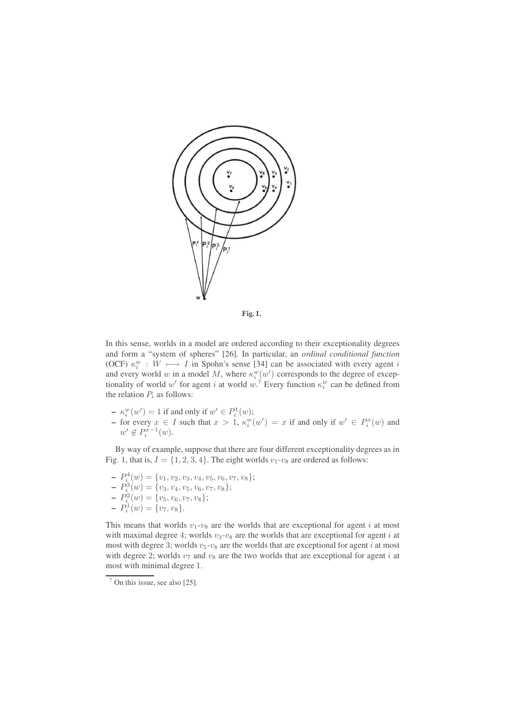

**Fig. 1.**

In this sense, worlds in a model are ordered according to their exceptionality degrees and form a "system of spheres" [26]. In particular, an *ordinal conditional function* (OCF)  $\kappa_i^w : W \mapsto I$  in Spohn's sense [34] can be associated with every agent i and every world w in a model M, where  $\kappa_i^w(w')$  corresponds to the degree of exceptionality of world w' for agent i at world w.<sup>7</sup> Every function  $\kappa_i^w$  can be defined from the relation  $P_i$  as follows:

 $- \kappa_i^w(w') = 1$  if and only if  $w' \in P_i^1(w)$ ; **−** for every  $x \in I$  such that  $x > 1$ ,  $\kappa_i^w(w') = x$  if and only if  $w' \in P_i^x(w)$  and  $w' \notin P_i^{x-1}(w)$ .

By way of example, suppose that there are four different exceptionality degrees as in Fig. 1, that is,  $I = \{1, 2, 3, 4\}$ . The eight worlds  $v_1-v_8$  are ordered as follows:

 $-P_{i}^{4}(w) = \{v_{1}, v_{2}, v_{3}, v_{4}, v_{5}, v_{6}, v_{7}, v_{8}\};$  $-P_{i}^{3}(w) = \{v_{3}, v_{4}, v_{5}, v_{6}, v_{7}, v_{8}\};$  $-P_i^2(w) = \{v_5, v_6, v_7, v_8\};$  $- P_i^1(w) = \{v_7, v_8\}.$ 

This means that worlds  $v_1-v_8$  are the worlds that are exceptional for agent i at most with maximal degree 4; worlds  $v_3-v_8$  are the worlds that are exceptional for agent i at most with degree 3; worlds  $v_5-v_8$  are the worlds that are exceptional for agent i at most with degree 2; worlds  $v_7$  and  $v_8$  are the two worlds that are exceptional for agent i at most with minimal degree 1.

 $<sup>7</sup>$  On this issue, see also [25].</sup>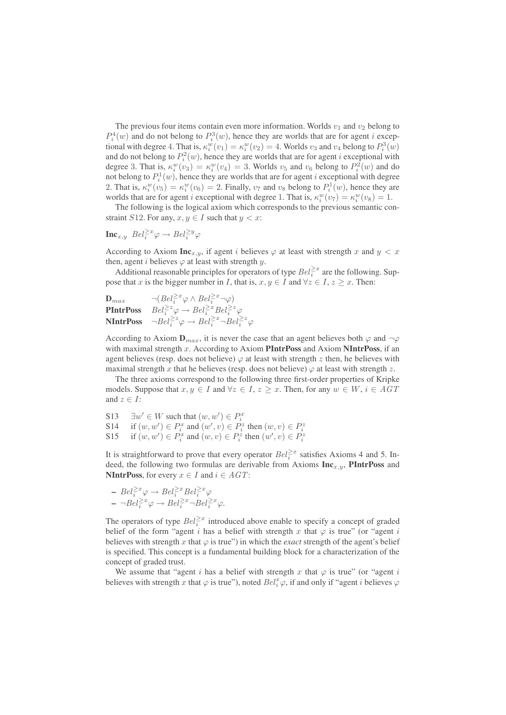The previous four items contain even more information. Worlds  $v_1$  and  $v_2$  belong to  $P_i^4(w)$  and do not belong to  $P_i^3(w)$ , hence they are worlds that are for agent *i* exceptional with degree 4. That is,  $\kappa_i^w(v_1) = \kappa_i^w(v_2) = 4$ . Worlds  $v_3$  and  $v_4$  belong to  $P_i^3(w)$ and do not belong to  $P_i^2(w)$ , hence they are worlds that are for agent *i* exceptional with degree 3. That is,  $\kappa_i^w(v_3) = \kappa_i^w(v_4) = 3$ . Worlds  $v_5$  and  $v_6$  belong to  $P_i^2(w)$  and do not belong to  $P_i^1(w)$ , hence they are worlds that are for agent *i* exceptional with degree 2. That is,  $\kappa_i^w(v_5) = \kappa_i^w(v_6) = 2$ . Finally,  $v_7$  and  $v_8$  belong to  $P_i^1(w)$ , hence they are worlds that are for agent *i* exceptional with degree 1. That is,  $\kappa_i^w(v_7) = \kappa_i^w(v_8) = 1$ .

The following is the logical axiom which corresponds to the previous semantic constraint S12. For any,  $x, y \in I$  such that  $y < x$ :

$$
\text{Inc}_{x,y} \ \ Bel^{\geq x}_{i} \varphi \to Bel^{ \geq y}_{i} \varphi
$$

According to Axiom  $\text{Inc}_{x,y}$ , if agent i believes  $\varphi$  at least with strength x and  $y < x$ then, agent *i* believes  $\varphi$  at least with strength *y*.

Additional reasonable principles for operators of type  $Bel_i^{\geq x}$  are the following. Suppose that x is the bigger number in I, that is,  $x, y \in I$  and  $\forall z \in I, z \geq x$ . Then:

 $\mathbf{D}_{max} \qquad \neg (Bel_i^{\geq x} \varphi \wedge Bel_i^{\geq x} \neg \varphi)$ **PIntrPoss**  $Bel_i^{\geq z} \varphi \to Bel_i^{\geq x} Bel_i^{\geq z} \varphi$ **NIntrPoss**  $\neg Bel_i^{\geq z} \varphi \rightarrow Bel_i^{\geq x} \neg Bel_i^{\geq z} \varphi$ 

According to Axiom  $\mathbf{D}_{max}$ , it is never the case that an agent believes both  $\varphi$  and  $\neg \varphi$ with maximal strength x. According to Axiom **PIntrPoss** and Axiom **NIntrPoss**, if an agent believes (resp. does not believe)  $\varphi$  at least with strength z then, he believes with maximal strength x that he believes (resp. does not believe)  $\varphi$  at least with strength z.

The three axioms correspond to the following three first-order properties of Kripke models. Suppose that  $x, y \in I$  and  $\forall z \in I$ ,  $z \geq x$ . Then, for any  $w \in W$ ,  $i \in AGT$ and  $z \in I$ :

S13  $\exists w' \in W$  such that  $(w, w') \in P_i^x$ <br>S14 if  $(w, w') \in P_i^x$  and  $(w', v) \in P_i^z$  then  $(w, v) \in P_i^z$ <br>S15 if  $(w, w') \in P_i^x$  and  $(w, v) \in P_i^z$  then  $(w', v) \in P_i^z$ 

It is straightforward to prove that every operator  $Bel_i^{\geq x}$  satisfies Axioms 4 and 5. Indeed, the following two formulas are derivable from Axioms  $\text{Inc}_{x,y}$ , **PIntrPoss** and **NIntrPoss**, for every  $x \in I$  and  $i \in AGT$ :

$$
- Bel_i^{\geq x} \varphi \to Bel_i^{\geq x} Bel_i^{\geq x} \varphi
$$
  

$$
- \neg Bel_i^{\geq x} \varphi \to Bel_i^{\geq x} \neg Bel_i^{\geq x} \varphi.
$$

The operators of type  $Bel_i^{\geq x}$  introduced above enable to specify a concept of graded belief of the form "agent i has a belief with strength x that  $\varphi$  is true" (or "agent i believes with strength x that  $\varphi$  is true") in which the *exact* strength of the agent's belief is specified. This concept is a fundamental building block for a characterization of the concept of graded trust.

We assume that "agent i has a belief with strength x that  $\varphi$  is true" (or "agent i believes with strength x that  $\varphi$  is true"), noted  $Bel_i^x \varphi$ , if and only if "agent i believes  $\varphi$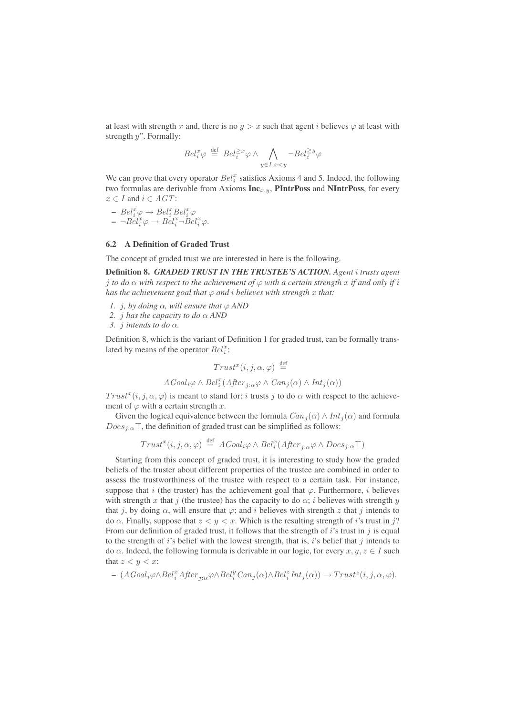at least with strength x and, there is no  $y > x$  such that agent i believes  $\varphi$  at least with strength  $y$ ". Formally:

$$
Bel_i^x \varphi \stackrel{\text{def}}{=} Bel_i^{\geq x} \varphi \wedge \bigwedge_{y \in I, x < y} \neg Bel_i^{\geq y} \varphi
$$

We can prove that every operator  $Bel_i^x$  satisfies Axioms 4 and 5. Indeed, the following two formulas are derivable from Axioms **Inc**x,y, **PIntrPoss** and **NIntrPoss**, for every  $x \in I$  and  $i \in AGT$ :

$$
\begin{aligned}\n&- \text{Bel}^x_i \varphi \rightarrow \text{Bel}^x_i \text{Bel}^x_i \varphi \\
&- \neg \text{Bel}^x_i \varphi \rightarrow \text{Bel}^x_i \neg \text{Bel}^x_i \varphi.\n\end{aligned}
$$

#### **6.2 A Definition of Graded Trust**

The concept of graded trust we are interested in here is the following.

**Definition 8.** *GRADED TRUST IN THE TRUSTEE'S ACTION. Agent* i *trusts agent* j *to do* α *with respect to the achievement of* ϕ *with a certain strength* x *if and only if* i *has the achievement goal that*  $\varphi$  *and i believes with strength* x *that:* 

- *1. j, by doing*  $\alpha$ *, will ensure that*  $\varphi$  *AND*
- *2.* j *has the capacity to do* α *AND*
- *3.* j *intends to do* α*.*

Definition 8, which is the variant of Definition 1 for graded trust, can be formally translated by means of the operator  $Bel_i^x$ :

$$
Trust^{x}(i, j, \alpha, \varphi) \stackrel{\text{def}}{=}
$$

$$
A\text{Goal}_i \varphi \land \text{Bel}_i^x(\text{After}_{j:\alpha} \varphi \land \text{Can}_j(\alpha) \land \text{Int}_j(\alpha))
$$

 $Trust^{x}(i, j, \alpha, \varphi)$  is meant to stand for: i trusts j to do  $\alpha$  with respect to the achievement of  $\varphi$  with a certain strength x.

Given the logical equivalence between the formula  $Can<sub>i</sub>(\alpha) \wedge Int<sub>i</sub>(\alpha)$  and formula  $Does_{i:\alpha}$ , the definition of graded trust can be simplified as follows:

$$
Trust^{x}(i,j,\alpha,\varphi) \stackrel{\text{def}}{=} AGoal_{i}\varphi \wedge Bel_{i}^{x}(After_{j:\alpha}\varphi \wedge Does_{j:\alpha} \top)
$$

Starting from this concept of graded trust, it is interesting to study how the graded beliefs of the truster about different properties of the trustee are combined in order to assess the trustworthiness of the trustee with respect to a certain task. For instance, suppose that i (the truster) has the achievement goal that  $\varphi$ . Furthermore, i believes with strength x that j (the trustee) has the capacity to do  $\alpha$ ; i believes with strength y that j, by doing  $\alpha$ , will ensure that  $\varphi$ ; and i believes with strength z that j intends to do  $\alpha$ . Finally, suppose that  $z < y < x$ . Which is the resulting strength of i's trust in j? From our definition of graded trust, it follows that the strength of i's trust in j is equal to the strength of i's belief with the lowest strength, that is, i's belief that j intends to do  $\alpha$ . Indeed, the following formula is derivable in our logic, for every  $x, y, z \in I$  such that  $z < y < x$ :

$$
-~\big(A\,Goal_i \varphi \wedge Bel^x_i After_{j:\alpha} \varphi \wedge Bel^y_i \,Can_j(\alpha) \wedge Bel^z_i \,Int_j(\alpha)\big) \rightarrow Trust^z(i,j,\alpha,\varphi).
$$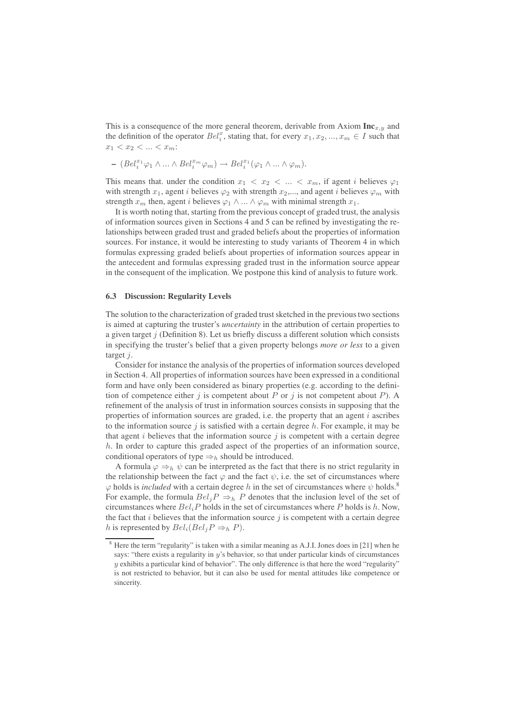This is a consequence of the more general theorem, derivable from Axiom  $\text{Inc}_{x,y}$  and the definition of the operator  $Bel_i^x$ , stating that, for every  $x_1, x_2, ..., x_m \in I$  such that  $x_1 < x_2 < \ldots < x_m$ :

$$
- (Bel_i^{x_1} \varphi_1 \wedge ... \wedge Bel_i^{x_m} \varphi_m) \rightarrow Bel_i^{x_1} (\varphi_1 \wedge ... \wedge \varphi_m).
$$

This means that. under the condition  $x_1 \, < \, x_2 \, < \, \ldots \, < \, x_m$ , if agent *i* believes  $\varphi_1$ with strength  $x_1$ , agent i believes  $\varphi_2$  with strength  $x_2,...$ , and agent i believes  $\varphi_m$  with strength  $x_m$  then, agent i believes  $\varphi_1 \wedge ... \wedge \varphi_m$  with minimal strength  $x_1$ .

It is worth noting that, starting from the previous concept of graded trust, the analysis of information sources given in Sections 4 and 5 can be refined by investigating the relationships between graded trust and graded beliefs about the properties of information sources. For instance, it would be interesting to study variants of Theorem 4 in which formulas expressing graded beliefs about properties of information sources appear in the antecedent and formulas expressing graded trust in the information source appear in the consequent of the implication. We postpone this kind of analysis to future work.

#### **6.3 Discussion: Regularity Levels**

The solution to the characterization of graded trust sketched in the previous two sections is aimed at capturing the truster's *uncertainty* in the attribution of certain properties to a given target  $j$  (Definition 8). Let us briefly discuss a different solution which consists in specifying the truster's belief that a given property belongs *more or less* to a given target j.

Consider for instance the analysis of the properties of information sources developed in Section 4. All properties of information sources have been expressed in a conditional form and have only been considered as binary properties (e.g. according to the definition of competence either  $j$  is competent about  $P$  or  $j$  is not competent about  $P$ ). A refinement of the analysis of trust in information sources consists in supposing that the properties of information sources are graded, i.e. the property that an agent  $i$  ascribes to the information source  $j$  is satisfied with a certain degree  $h$ . For example, it may be that agent i believes that the information source j is competent with a certain degree h. In order to capture this graded aspect of the properties of an information source, conditional operators of type  $\Rightarrow_h$  should be introduced.

A formula  $\varphi \Rightarrow_h \psi$  can be interpreted as the fact that there is no strict regularity in the relationship between the fact  $\varphi$  and the fact  $\psi$ , i.e. the set of circumstances where  $\varphi$  holds is *included* with a certain degree h in the set of circumstances where  $\psi$  holds.<sup>8</sup> For example, the formula  $Bel_iP \Rightarrow_h P$  denotes that the inclusion level of the set of circumstances where  $Bel_iP$  holds in the set of circumstances where P holds is h. Now, the fact that i believes that the information source  $\dot{\gamma}$  is competent with a certain degree h is represented by  $Bel_i(Bel_iP \Rightarrow_h P)$ .

<sup>&</sup>lt;sup>8</sup> Here the term "regularity" is taken with a similar meaning as A.J.I. Jones does in [21] when he says: "there exists a regularity in  $y$ 's behavior, so that under particular kinds of circumstances y exhibits a particular kind of behavior". The only difference is that here the word "regularity" is not restricted to behavior, but it can also be used for mental attitudes like competence or sincerity.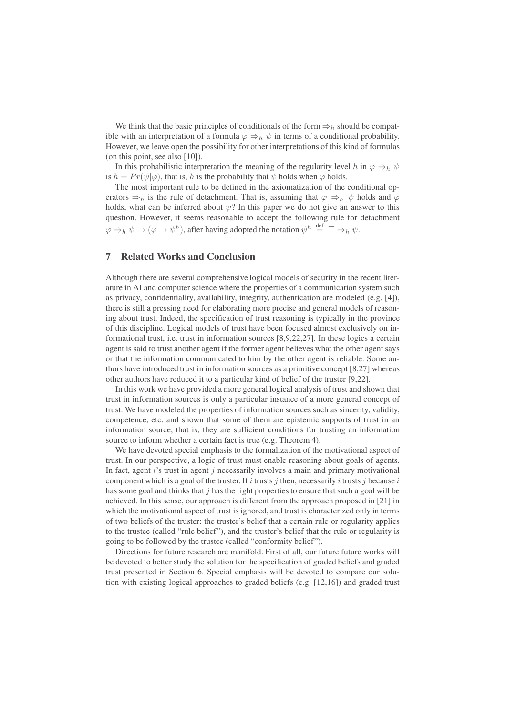We think that the basic principles of conditionals of the form  $\Rightarrow_h$  should be compatible with an interpretation of a formula  $\varphi \Rightarrow_h \psi$  in terms of a conditional probability. However, we leave open the possibility for other interpretations of this kind of formulas (on this point, see also [10]).

In this probabilistic interpretation the meaning of the regularity level h in  $\varphi \Rightarrow_h \psi$ is  $h = Pr(\psi|\varphi)$ , that is, h is the probability that  $\psi$  holds when  $\varphi$  holds.

The most important rule to be defined in the axiomatization of the conditional operators  $\Rightarrow_h$  is the rule of detachment. That is, assuming that  $\varphi \Rightarrow_h \psi$  holds and  $\varphi$ holds, what can be inferred about  $\psi$ ? In this paper we do not give an answer to this question. However, it seems reasonable to accept the following rule for detachment  $\varphi \Rightarrow_h \psi \rightarrow (\varphi \rightarrow \psi^h)$ , after having adopted the notation  $\psi^h \stackrel{\text{def}}{=} \top \Rightarrow_h \psi$ .

# **7 Related Works and Conclusion**

Although there are several comprehensive logical models of security in the recent literature in AI and computer science where the properties of a communication system such as privacy, confidentiality, availability, integrity, authentication are modeled (e.g. [4]), there is still a pressing need for elaborating more precise and general models of reasoning about trust. Indeed, the specification of trust reasoning is typically in the province of this discipline. Logical models of trust have been focused almost exclusively on informational trust, i.e. trust in information sources [8,9,22,27]. In these logics a certain agent is said to trust another agent if the former agent believes what the other agent says or that the information communicated to him by the other agent is reliable. Some authors have introduced trust in information sources as a primitive concept [8,27] whereas other authors have reduced it to a particular kind of belief of the truster [9,22].

In this work we have provided a more general logical analysis of trust and shown that trust in information sources is only a particular instance of a more general concept of trust. We have modeled the properties of information sources such as sincerity, validity, competence, etc. and shown that some of them are epistemic supports of trust in an information source, that is, they are sufficient conditions for trusting an information source to inform whether a certain fact is true (e.g. Theorem 4).

We have devoted special emphasis to the formalization of the motivational aspect of trust. In our perspective, a logic of trust must enable reasoning about goals of agents. In fact, agent  $i$ 's trust in agent  $j$  necessarily involves a main and primary motivational component which is a goal of the truster. If i trusts j then, necessarily i trusts j because i has some goal and thinks that  $j$  has the right properties to ensure that such a goal will be achieved. In this sense, our approach is different from the approach proposed in [21] in which the motivational aspect of trust is ignored, and trust is characterized only in terms of two beliefs of the truster: the truster's belief that a certain rule or regularity applies to the trustee (called "rule belief"), and the truster's belief that the rule or regularity is going to be followed by the trustee (called "conformity belief").

Directions for future research are manifold. First of all, our future future works will be devoted to better study the solution for the specification of graded beliefs and graded trust presented in Section 6. Special emphasis will be devoted to compare our solution with existing logical approaches to graded beliefs (e.g. [12,16]) and graded trust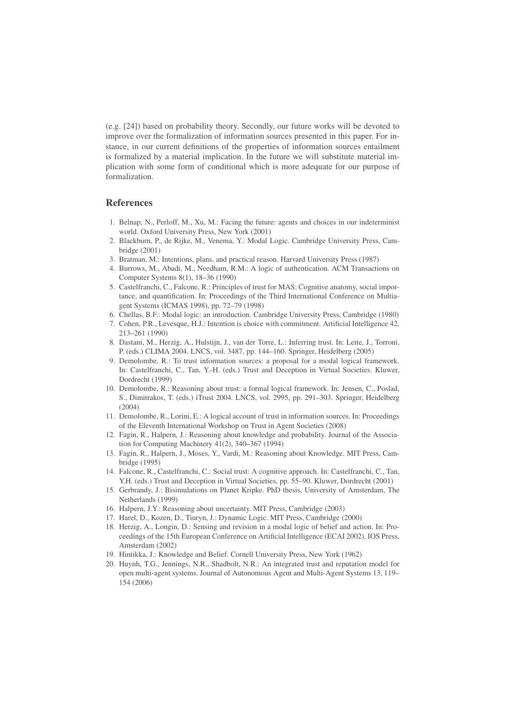(e.g. [24]) based on probability theory. Secondly, our future works will be devoted to improve over the formalization of information sources presented in this paper. For instance, in our current definitions of the properties of information sources entailment is formalized by a material implication. In the future we will substitute material implication with some form of conditional which is more adequate for our purpose of formalization.

# **References**

- 1. Belnap, N., Perloff, M., Xu, M.: Facing the future: agents and choices in our indeterminist world. Oxford University Press, New York (2001)
- 2. Blackburn, P., de Rijke, M., Venema, Y.: Modal Logic. Cambridge University Press, Cambridge (2001)
- 3. Bratman, M.: Intentions, plans, and practical reason. Harvard University Press (1987)
- 4. Burrows, M., Abadi, M., Needham, R.M.: A logic of authentication. ACM Transactions on Computer Systems 8(1), 18–36 (1990)
- 5. Castelfranchi, C., Falcone, R.: Principles of trust for MAS: Cognitive anatomy, social importance, and quantification. In: Proceedings of the Third International Conference on Multiagent Systems (ICMAS 1998), pp. 72–79 (1998)
- 6. Chellas, B.F.: Modal logic: an introduction. Cambridge University Press, Cambridge (1980)
- 7. Cohen, P.R., Levesque, H.J.: Intention is choice with commitment. Artificial Intelligence 42, 213–261 (1990)
- 8. Dastani, M., Herzig, A., Hulstijn, J., van der Torre, L.: Inferring trust. In: Leite, J., Torroni, P. (eds.) CLIMA 2004. LNCS, vol. 3487, pp. 144–160. Springer, Heidelberg (2005)
- 9. Demolombe, R.: To trust information sources: a proposal for a modal logical framework. In: Castelfranchi, C., Tan, Y.-H. (eds.) Trust and Deception in Virtual Societies. Kluwer, Dordrecht (1999)
- 10. Demolombe, R.: Reasoning about trust: a formal logical framework. In: Jensen, C., Poslad, S., Dimitrakos, T. (eds.) iTrust 2004. LNCS, vol. 2995, pp. 291–303. Springer, Heidelberg  $(2004)$
- 11. Demolombe, R., Lorini, E.: A logical account of trust in information sources. In: Proceedings of the Eleventh International Workshop on Trust in Agent Societies (2008)
- 12. Fagin, R., Halpern, J.: Reasoning about knowledge and probability. Journal of the Association for Computing Machinery 41(2), 340–367 (1994)
- 13. Fagin, R., Halpern, J., Moses, Y., Vardi, M.: Reasoning about Knowledge. MIT Press, Cambridge (1995)
- 14. Falcone, R., Castelfranchi, C.: Social trust: A cognitive approach. In: Castelfranchi, C., Tan, Y.H. (eds.) Trust and Deception in Virtual Societies, pp. 55–90. Kluwer, Dordrecht (2001)
- 15. Gerbrandy, J.: Bisimulations on Planet Kripke. PhD thesis, University of Amsterdam, The Netherlands (1999)
- 16. Halpern, J.Y.: Reasoning about uncertainty. MIT Press, Cambridge (2003)
- 17. Harel, D., Kozen, D., Tiuryn, J.: Dynamic Logic. MIT Press, Cambridge (2000)
- 18. Herzig, A., Longin, D.: Sensing and revision in a modal logic of belief and action. In: Proceedings of the 15th European Conference on Artificial Intelligence (ECAI 2002). IOS Press, Amsterdam (2002)
- 19. Hintikka, J.: Knowledge and Belief. Cornell University Press, New York (1962)
- 20. Huynh, T.G., Jennings, N.R., Shadbolt, N.R.: An integrated trust and reputation model for open multi-agent systems. Journal of Autonomous Agent and Multi-Agent Systems 13, 119– 154 (2006)